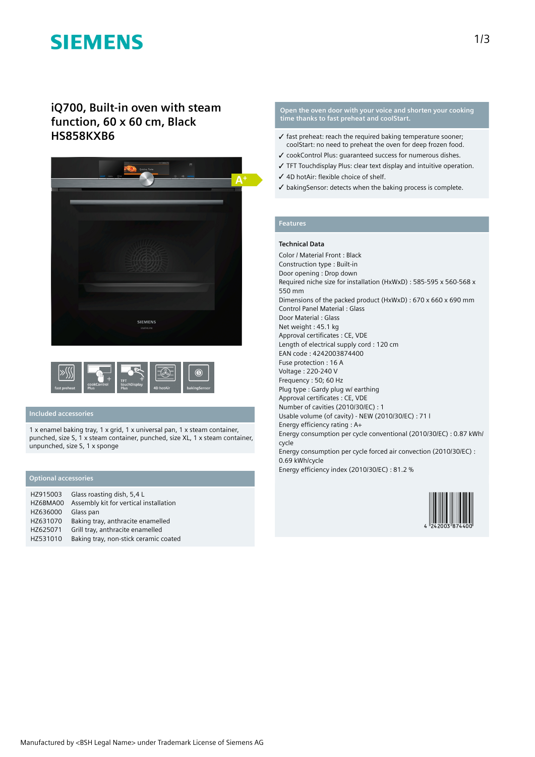# **SIEMENS**

# **iQ700, Built-in oven with steam function, 60 x 60 cm, Black HS858KXB6**





## **Included accessories**

1 x enamel baking tray, 1 x grid, 1 x universal pan, 1 x steam container, punched, size S, 1 x steam container, punched, size XL, 1 x steam container, unpunched, size S, 1 x sponge

### **Optional accessories**

| HZ915003 | Glass roasting dish, 5,4 L             |
|----------|----------------------------------------|
| HZ6BMA00 | Assembly kit for vertical installation |
| HZ636000 | Glass pan                              |
| HZ631070 | Baking tray, anthracite enamelled      |
| HZ625071 | Grill tray, anthracite enamelled       |
| HZ531010 | Baking tray, non-stick ceramic coated  |

#### **Open the oven door with your voice and shorten your cooking time thanks to fast preheat and coolStart.**

- $\checkmark$  fast preheat: reach the required baking temperature sooner: coolStart: no need to preheat the oven for deep frozen food.
- ✓ cookControl Plus: guaranteed success for numerous dishes.
- ✓ TFT Touchdisplay Plus: clear text display and intuitive operation.
- ✓ 4D hotAir: flexible choice of shelf.
- ✓ bakingSensor: detects when the baking process is complete.

## **Features**

#### **Technical Data**

Color / Material Front : Black Construction type : Built-in Door opening : Drop down Required niche size for installation (HxWxD) : 585-595 x 560-568 x 550 mm Dimensions of the packed product (HxWxD) : 670 x 660 x 690 mm Control Panel Material : Glass Door Material : Glass Net weight : 45.1 kg Approval certificates : CE, VDE Length of electrical supply cord : 120 cm EAN code : 4242003874400 Fuse protection : 16 A Voltage : 220-240 V Frequency : 50; 60 Hz Plug type : Gardy plug w/ earthing Approval certificates : CE, VDE Number of cavities (2010/30/EC) : 1 Usable volume (of cavity) - NEW (2010/30/EC) : 71 l Energy efficiency rating : A+ Energy consumption per cycle conventional (2010/30/EC) : 0.87 kWh/ cycle Energy consumption per cycle forced air convection (2010/30/EC) : 0.69 kWh/cycle

Energy efficiency index (2010/30/EC) : 81.2 %

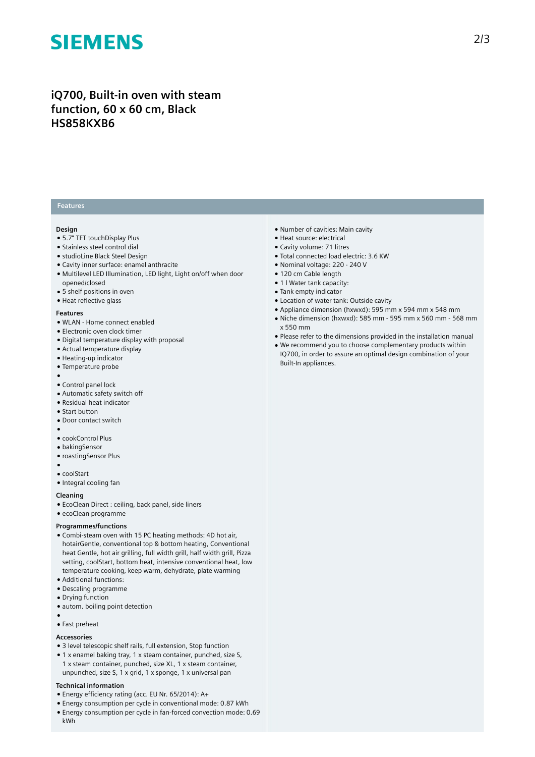# **SIEMENS**

# **iQ700, Built-in oven with steam function, 60 x 60 cm, Black HS858KXB6**

### **Features**

### **Design**

- 5.7" TFT touchDisplay Plus
- Stainless steel control dial
- studioLine Black Steel Design
- Cavity inner surface: enamel anthracite
- Multilevel LED Illumination, LED light, Light on/off when door opened/closed
- 5 shelf positions in oven
- Heat reflective glass

#### **Features**

- WLAN Home connect enabled
- Electronic oven clock timer
- Digital temperature display with proposal
- Actual temperature display
- Heating-up indicator
- Temperature probe
- Control panel lock
- Automatic safety switch off
- Residual heat indicator
- Start button

●

- Door contact switch
- ●
- cookControl Plus
- bakingSensor
- roastingSensor Plus
- ●
- coolStart
- Integral cooling fan

#### **Cleaning**

- EcoClean Direct : ceiling, back panel, side liners
- ecoClean programme

#### **Programmes/functions**

- Combi-steam oven with 15 PC heating methods: 4D hot air, hotairGentle, conventional top & bottom heating, Conventional heat Gentle, hot air grilling, full width grill, half width grill, Pizza setting, coolStart, bottom heat, intensive conventional heat, low temperature cooking, keep warm, dehydrate, plate warming
- Additional functions:
- Descaling programme
- Drying function
- autom. boiling point detection
- ● Fast preheat

# **Accessories**

- 3 level telescopic shelf rails, full extension, Stop function
- 1 x enamel baking tray, 1 x steam container, punched, size S, 1 x steam container, punched, size XL, 1 x steam container,
- unpunched, size S, 1 x grid, 1 x sponge, 1 x universal pan

## **Technical information**

- Energy efficiency rating (acc. EU Nr. 65/2014): A+
- Energy consumption per cycle in conventional mode: 0.87 kWh
- Energy consumption per cycle in fan-forced convection mode: 0.69 kWh
- Number of cavities: Main cavity
- Heat source: electrical
- Cavity volume: 71 litres
- Total connected load electric: 3.6 KW
- Nominal voltage: 220 240 V
- 120 cm Cable length
- 1 l Water tank capacity:
- Tank empty indicator
- Location of water tank: Outside cavity
- Appliance dimension (hxwxd): 595 mm x 594 mm x 548 mm
- Niche dimension (hxwxd): 585 mm 595 mm x 560 mm 568 mm x 550 mm
- Please refer to the dimensions provided in the installation manual
- We recommend you to choose complementary products within IQ700, in order to assure an optimal design combination of your Built-In appliances.